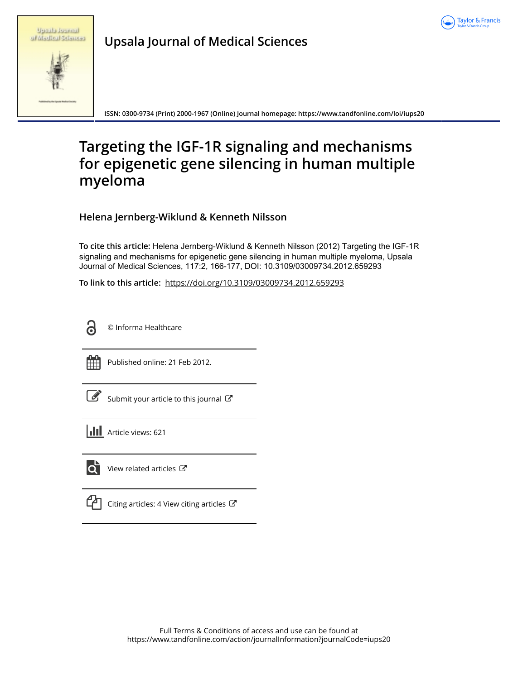

|  | <b>Spraha</b> Russiana |
|--|------------------------|
|  | of Madical Sciences    |

**Upsala Journal of Medical Sciences**

**ISSN: 0300-9734 (Print) 2000-1967 (Online) Journal homepage:<https://www.tandfonline.com/loi/iups20>**

# **Targeting the IGF-1R signaling and mechanisms for epigenetic gene silencing in human multiple myeloma**

**Helena Jernberg-Wiklund & Kenneth Nilsson**

**To cite this article:** Helena Jernberg-Wiklund & Kenneth Nilsson (2012) Targeting the IGF-1R signaling and mechanisms for epigenetic gene silencing in human multiple myeloma, Upsala Journal of Medical Sciences, 117:2, 166-177, DOI: [10.3109/03009734.2012.659293](https://www.tandfonline.com/action/showCitFormats?doi=10.3109/03009734.2012.659293)

**To link to this article:** <https://doi.org/10.3109/03009734.2012.659293>



© Informa Healthcare



Published online: 21 Feb 2012.

| ł<br>۰. |
|---------|

[Submit your article to this journal](https://www.tandfonline.com/action/authorSubmission?journalCode=iups20&show=instructions)  $\mathbb{Z}$ 

**III** Article views: 621



[View related articles](https://www.tandfonline.com/doi/mlt/10.3109/03009734.2012.659293)  $\mathbb{Z}$ 

| ۰, |
|----|
|----|

[Citing articles: 4 View citing articles](https://www.tandfonline.com/doi/citedby/10.3109/03009734.2012.659293#tabModule)  $\mathbb{C}^{\bullet}$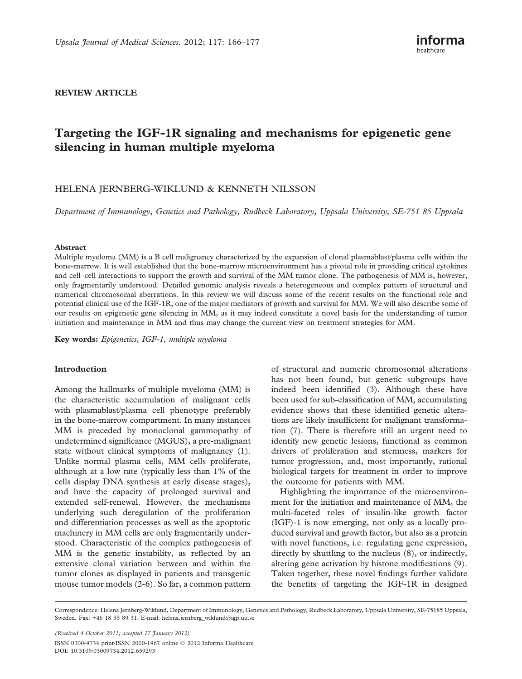# REVIEW ARTICLE

# Targeting the IGF-1R signaling and mechanisms for epigenetic gene silencing in human multiple myeloma

# HELENA JERNBERG-WIKLUND & KENNETH NILSSON

Department of Immunology, Genetics and Pathology, Rudbeck Laboratory, Uppsala University, SE-751 85 Uppsala

#### Abstract

Multiple myeloma (MM) is a B cell malignancy characterized by the expansion of clonal plasmablast/plasma cells within the bone-marrow. It is well established that the bone-marrow microenvironment has a pivotal role in providing critical cytokines and cell–cell interactions to support the growth and survival of the MM tumor clone. The pathogenesis of MM is, however, only fragmentarily understood. Detailed genomic analysis reveals a heterogeneous and complex pattern of structural and numerical chromosomal aberrations. In this review we will discuss some of the recent results on the functional role and potential clinical use of the IGF-1R, one of the major mediators of growth and survival for MM. We will also describe some of our results on epigenetic gene silencing in MM, as it may indeed constitute a novel basis for the understanding of tumor initiation and maintenance in MM and thus may change the current view on treatment strategies for MM.

Key words: Epigenetics, IGF-1, multiple myeloma

#### Introduction

Among the hallmarks of multiple myeloma (MM) is the characteristic accumulation of malignant cells with plasmablast/plasma cell phenotype preferably in the bone-marrow compartment. In many instances MM is preceded by monoclonal gammopathy of undetermined significance (MGUS), a pre-malignant state without clinical symptoms of malignancy (1). Unlike normal plasma cells, MM cells proliferate, although at a low rate (typically less than 1% of the cells display DNA synthesis at early disease stages), and have the capacity of prolonged survival and extended self-renewal. However, the mechanisms underlying such deregulation of the proliferation and differentiation processes as well as the apoptotic machinery in MM cells are only fragmentarily understood. Characteristic of the complex pathogenesis of MM is the genetic instability, as reflected by an extensive clonal variation between and within the tumor clones as displayed in patients and transgenic mouse tumor models (2-6). So far, a common pattern of structural and numeric chromosomal alterations has not been found, but genetic subgroups have indeed been identified (3). Although these have been used for sub-classification of MM, accumulating evidence shows that these identified genetic alterations are likely insufficient for malignant transformation (7). There is therefore still an urgent need to identify new genetic lesions, functional as common drivers of proliferation and stemness, markers for tumor progression, and, most importantly, rational biological targets for treatment in order to improve the outcome for patients with MM.

Highlighting the importance of the microenvironment for the initiation and maintenance of MM, the multi-faceted roles of insulin-like growth factor (IGF)-1 is now emerging, not only as a locally produced survival and growth factor, but also as a protein with novel functions, i.e. regulating gene expression, directly by shuttling to the nucleus (8), or indirectly, altering gene activation by histone modifications (9). Taken together, these novel findings further validate the benefits of targeting the IGF-1R in designed

(Received 4 October 2011; accepted 17 January 2012) ISSN 0300-9734 print/ISSN 2000-1967 online 2012 Informa Healthcare DOI: 10.3109/03009734.2012.659293

Correspondence: Helena Jernberg-Wiklund, Department of Immunology, Genetics and Pathology, Rudbeck Laboratory, Uppsala University, SE-75185 Uppsala, Sweden. Fax: +46 18 55 89 31. E-mail: helena.jernberg\_wiklund@igp.uu.se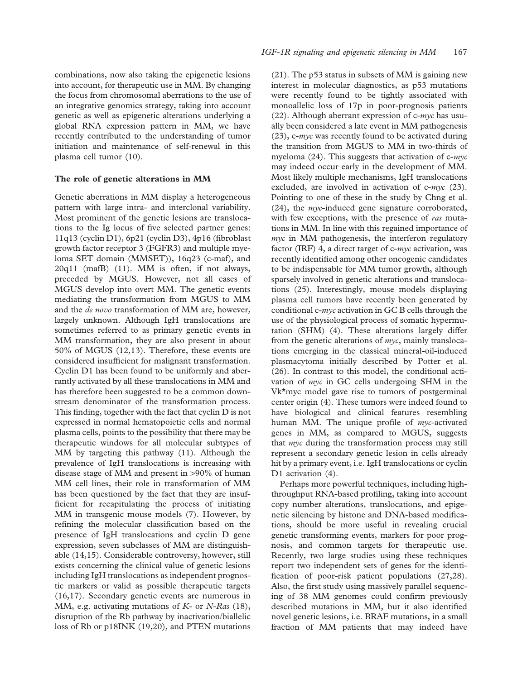combinations, now also taking the epigenetic lesions into account, for therapeutic use in MM. By changing the focus from chromosomal aberrations to the use of an integrative genomics strategy, taking into account genetic as well as epigenetic alterations underlying a global RNA expression pattern in MM, we have recently contributed to the understanding of tumor initiation and maintenance of self-renewal in this plasma cell tumor (10).

#### The role of genetic alterations in MM

Genetic aberrations in MM display a heterogeneous pattern with large intra- and interclonal variability. Most prominent of the genetic lesions are translocations to the Ig locus of five selected partner genes: 11q13 (cyclin D1), 6p21 (cyclin D3), 4p16 (fibroblast growth factor receptor 3 (FGFR3) and multiple myeloma SET domain (MMSET)), 16q23 (c-maf), and 20q11 (mafB) (11). MM is often, if not always, preceded by MGUS. However, not all cases of MGUS develop into overt MM. The genetic events mediating the transformation from MGUS to MM and the *de novo* transformation of MM are, however, largely unknown. Although IgH translocations are sometimes referred to as primary genetic events in MM transformation, they are also present in about 50% of MGUS (12,13). Therefore, these events are considered insufficient for malignant transformation. Cyclin D1 has been found to be uniformly and aberrantly activated by all these translocations in MM and has therefore been suggested to be a common downstream denominator of the transformation process. This finding, together with the fact that cyclin D is not expressed in normal hematopoietic cells and normal plasma cells, points to the possibility that there may be therapeutic windows for all molecular subtypes of MM by targeting this pathway (11). Although the prevalence of IgH translocations is increasing with disease stage of MM and present in >90% of human MM cell lines, their role in transformation of MM has been questioned by the fact that they are insufficient for recapitulating the process of initiating MM in transgenic mouse models (7). However, by refining the molecular classification based on the presence of IgH translocations and cyclin D gene expression, seven subclasses of MM are distinguishable (14,15). Considerable controversy, however, still exists concerning the clinical value of genetic lesions including IgH translocations as independent prognostic markers or valid as possible therapeutic targets (16,17). Secondary genetic events are numerous in MM, e.g. activating mutations of  $K$ - or  $N$ -Ras (18), disruption of the Rb pathway by inactivation/biallelic loss of Rb or p18INK (19,20), and PTEN mutations

(21). The p53 status in subsets of MM is gaining new interest in molecular diagnostics, as p53 mutations were recently found to be tightly associated with monoallelic loss of 17p in poor-prognosis patients (22). Although aberrant expression of  $c$ -myc has usually been considered a late event in MM pathogenesis  $(23)$ , c-myc was recently found to be activated during the transition from MGUS to MM in two-thirds of myeloma  $(24)$ . This suggests that activation of c- $myc$ may indeed occur early in the development of MM. Most likely multiple mechanisms, IgH translocations excluded, are involved in activation of  $c$ -myc (23). Pointing to one of these in the study by Chng et al.  $(24)$ , the *myc*-induced gene signature corroborated, with few exceptions, with the presence of ras mutations in MM. In line with this regained importance of  $myc$  in MM pathogenesis, the interferon regulatory factor (IRF) 4, a direct target of  $c$ -*myc* activation, was recently identified among other oncogenic candidates to be indispensable for MM tumor growth, although sparsely involved in genetic alterations and translocations (25). Interestingly, mouse models displaying plasma cell tumors have recently been generated by conditional c-myc activation in GC B cells through the use of the physiological process of somatic hypermutation (SHM) (4). These alterations largely differ from the genetic alterations of myc, mainly translocations emerging in the classical mineral-oil-induced plasmacytoma initially described by Potter et al. (26). In contrast to this model, the conditional activation of myc in GC cells undergoing SHM in the Vk\*myc model gave rise to tumors of postgerminal center origin (4). These tumors were indeed found to have biological and clinical features resembling human MM. The unique profile of *myc*-activated genes in MM, as compared to MGUS, suggests that *myc* during the transformation process may still represent a secondary genetic lesion in cells already hit by a primary event, i.e. IgH translocations or cyclin D1 activation (4).

Perhaps more powerful techniques, including highthroughput RNA-based profiling, taking into account copy number alterations, translocations, and epigenetic silencing by histone and DNA-based modifications, should be more useful in revealing crucial genetic transforming events, markers for poor prognosis, and common targets for therapeutic use. Recently, two large studies using these techniques report two independent sets of genes for the identification of poor-risk patient populations (27,28). Also, the first study using massively parallel sequencing of 38 MM genomes could confirm previously described mutations in MM, but it also identified novel genetic lesions, i.e. BRAF mutations, in a small fraction of MM patients that may indeed have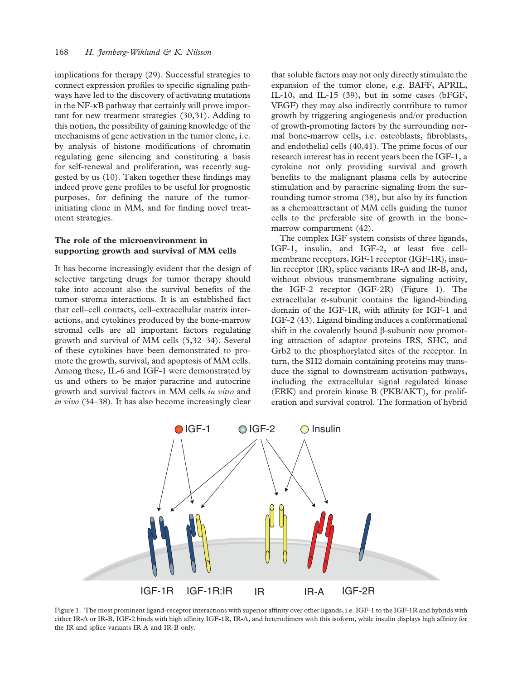implications for therapy (29). Successful strategies to connect expression profiles to specific signaling pathways have led to the discovery of activating mutations in the NF-kB pathway that certainly will prove important for new treatment strategies (30,31). Adding to this notion, the possibility of gaining knowledge of the mechanisms of gene activation in the tumor clone, i.e. by analysis of histone modifications of chromatin regulating gene silencing and constituting a basis for self-renewal and proliferation, was recently suggested by us (10). Taken together these findings may indeed prove gene profiles to be useful for prognostic purposes, for defining the nature of the tumorinitiating clone in MM, and for finding novel treatment strategies.

## The role of the microenvironment in supporting growth and survival of MM cells

It has become increasingly evident that the design of selective targeting drugs for tumor therapy should take into account also the survival benefits of the tumor–stroma interactions. It is an established fact that cell–cell contacts, cell–extracellular matrix interactions, and cytokines produced by the bone-marrow stromal cells are all important factors regulating growth and survival of MM cells (5,32–34). Several of these cytokines have been demonstrated to promote the growth, survival, and apoptosis of MM cells. Among these, IL-6 and IGF-1 were demonstrated by us and others to be major paracrine and autocrine growth and survival factors in MM cells in vitro and in vivo (34–38). It has also become increasingly clear

that soluble factors may not only directly stimulate the expansion of the tumor clone, e.g. BAFF, APRIL, IL-10, and IL-15 (39), but in some cases (bFGF, VEGF) they may also indirectly contribute to tumor growth by triggering angiogenesis and/or production of growth-promoting factors by the surrounding normal bone-marrow cells, i.e. osteoblasts, fibroblasts, and endothelial cells (40,41). The prime focus of our research interest has in recent years been the IGF-1, a cytokine not only providing survival and growth benefits to the malignant plasma cells by autocrine stimulation and by paracrine signaling from the surrounding tumor stroma (38), but also by its function as a chemoattractant of MM cells guiding the tumor cells to the preferable site of growth in the bonemarrow compartment (42).

The complex IGF system consists of three ligands, IGF-1, insulin, and IGF-2, at least five cellmembrane receptors, IGF-1 receptor (IGF-1R), insulin receptor (IR), splice variants IR-A and IR-B, and, without obvious transmembrane signaling activity, the IGF-2 receptor (IGF-2R) (Figure 1). The extracellular  $\alpha$ -subunit contains the ligand-binding domain of the IGF-1R, with affinity for IGF-1 and IGF-2 (43). Ligand binding induces a conformational shift in the covalently bound  $\beta$ -subunit now promoting attraction of adaptor proteins IRS, SHC, and Grb2 to the phosphorylated sites of the receptor. In turn, the SH2 domain containing proteins may transduce the signal to downstream activation pathways, including the extracellular signal regulated kinase (ERK) and protein kinase B (PKB/AKT), for proliferation and survival control. The formation of hybrid



Figure 1. The most prominent ligand-receptor interactions with superior affinity over other ligands, i.e. IGF-1 to the IGF-1R and hybrids with either IR-A or IR-B, IGF-2 binds with high affinity IGF-1R, IR-A, and heterodimers with this isoform, while insulin displays high affinity for the IR and splice variants IR-A and IR-B only.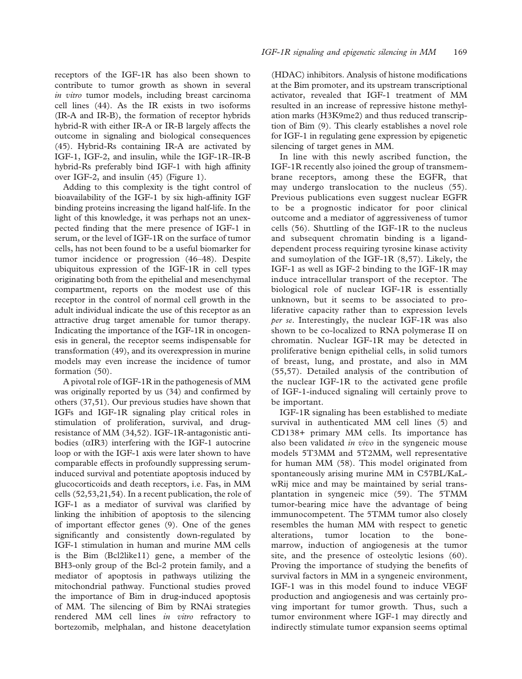receptors of the IGF-1R has also been shown to contribute to tumor growth as shown in several in vitro tumor models, including breast carcinoma cell lines (44). As the IR exists in two isoforms (IR-A and IR-B), the formation of receptor hybrids hybrid-R with either IR-A or IR-B largely affects the outcome in signaling and biological consequences (45). Hybrid-Rs containing IR-A are activated by IGF-1, IGF-2, and insulin, while the IGF-1R–IR-B hybrid-Rs preferably bind IGF-1 with high affinity over IGF-2, and insulin (45) (Figure 1).

Adding to this complexity is the tight control of bioavailability of the IGF-1 by six high-affinity IGF binding proteins increasing the ligand half-life. In the light of this knowledge, it was perhaps not an unexpected finding that the mere presence of IGF-1 in serum, or the level of IGF-1R on the surface of tumor cells, has not been found to be a useful biomarker for tumor incidence or progression (46–48). Despite ubiquitous expression of the IGF-1R in cell types originating both from the epithelial and mesenchymal compartment, reports on the modest use of this receptor in the control of normal cell growth in the adult individual indicate the use of this receptor as an attractive drug target amenable for tumor therapy. Indicating the importance of the IGF-1R in oncogenesis in general, the receptor seems indispensable for transformation (49), and its overexpression in murine models may even increase the incidence of tumor formation (50).

A pivotal role of IGF-1R in the pathogenesis of MM was originally reported by us (34) and confirmed by others (37,51). Our previous studies have shown that IGFs and IGF-1R signaling play critical roles in stimulation of proliferation, survival, and drugresistance of MM (34,52). IGF-1R-antagonistic antibodies  $(\alpha$ IR3) interfering with the IGF-1 autocrine loop or with the IGF-1 axis were later shown to have comparable effects in profoundly suppressing seruminduced survival and potentiate apoptosis induced by glucocorticoids and death receptors, i.e. Fas, in MM cells (52,53,21,54). In a recent publication, the role of IGF-1 as a mediator of survival was clarified by linking the inhibition of apoptosis to the silencing of important effector genes (9). One of the genes significantly and consistently down-regulated by IGF-1 stimulation in human and murine MM cells is the Bim (Bcl2like11) gene, a member of the BH3-only group of the Bcl-2 protein family, and a mediator of apoptosis in pathways utilizing the mitochondrial pathway. Functional studies proved the importance of Bim in drug-induced apoptosis of MM. The silencing of Bim by RNAi strategies rendered MM cell lines in vitro refractory to bortezomib, melphalan, and histone deacetylation (HDAC) inhibitors. Analysis of histone modifications at the Bim promoter, and its upstream transcriptional activator, revealed that IGF-1 treatment of MM resulted in an increase of repressive histone methylation marks (H3K9me2) and thus reduced transcription of Bim (9). This clearly establishes a novel role for IGF-1 in regulating gene expression by epigenetic silencing of target genes in MM.

In line with this newly ascribed function, the IGF-1R recently also joined the group of transmembrane receptors, among these the EGFR, that may undergo translocation to the nucleus (55). Previous publications even suggest nuclear EGFR to be a prognostic indicator for poor clinical outcome and a mediator of aggressiveness of tumor cells (56). Shuttling of the IGF-1R to the nucleus and subsequent chromatin binding is a liganddependent process requiring tyrosine kinase activity and sumoylation of the IGF-1R (8,57). Likely, the IGF-1 as well as IGF-2 binding to the IGF-1R may induce intracellular transport of the receptor. The biological role of nuclear IGF-1R is essentially unknown, but it seems to be associated to proliferative capacity rather than to expression levels per se. Interestingly, the nuclear IGF-1R was also shown to be co-localized to RNA polymerase II on chromatin. Nuclear IGF-1R may be detected in proliferative benign epithelial cells, in solid tumors of breast, lung, and prostate, and also in MM (55,57). Detailed analysis of the contribution of the nuclear IGF-1R to the activated gene profile of IGF-1-induced signaling will certainly prove to be important.

IGF-1R signaling has been established to mediate survival in authenticated MM cell lines (5) and CD138+ primary MM cells. Its importance has also been validated *in vivo* in the syngeneic mouse models 5T3MM and 5T2MM, well representative for human MM (58). This model originated from spontaneously arising murine MM in C57BL/KaLwRij mice and may be maintained by serial transplantation in syngeneic mice (59). The 5TMM tumor-bearing mice have the advantage of being immunocompetent. The 5TMM tumor also closely resembles the human MM with respect to genetic alterations, tumor location to the bonemarrow, induction of angiogenesis at the tumor site, and the presence of osteolytic lesions (60). Proving the importance of studying the benefits of survival factors in MM in a syngeneic environment, IGF-1 was in this model found to induce VEGF production and angiogenesis and was certainly proving important for tumor growth. Thus, such a tumor environment where IGF-1 may directly and indirectly stimulate tumor expansion seems optimal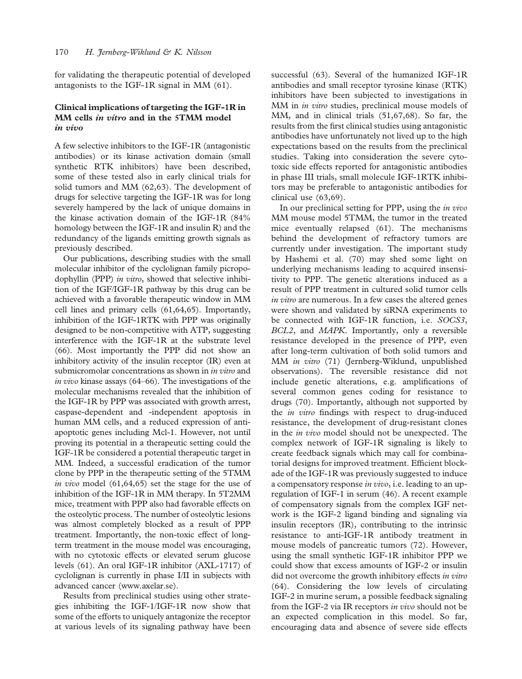for validating the therapeutic potential of developed antagonists to the IGF-1R signal in MM (61).

## Clinical implications of targeting the IGF-1R in MM cells in vitro and in the 5TMM model  $\boldsymbol{i}$ *in*  $\boldsymbol{j}$  $\boldsymbol{i}$

A few selective inhibitors to the IGF-1R (antagonistic antibodies) or its kinase activation domain (small synthetic RTK inhibitors) have been described, some of these tested also in early clinical trials for solid tumors and MM (62,63). The development of drugs for selective targeting the IGF-1R was for long severely hampered by the lack of unique domains in the kinase activation domain of the IGF-1R (84% homology between the IGF-1R and insulin R) and the redundancy of the ligands emitting growth signals as previously described.

Our publications, describing studies with the small molecular inhibitor of the cyclolignan family picropodophyllin (PPP) in vitro, showed that selective inhibition of the IGF/IGF-1R pathway by this drug can be achieved with a favorable therapeutic window in MM cell lines and primary cells (61,64,65). Importantly, inhibition of the IGF-1RTK with PPP was originally designed to be non-competitive with ATP, suggesting interference with the IGF-1R at the substrate level (66). Most importantly the PPP did not show an inhibitory activity of the insulin receptor (IR) even at submicromolar concentrations as shown in in vitro and in vivo kinase assays (64–66). The investigations of the molecular mechanisms revealed that the inhibition of the IGF-1R by PPP was associated with growth arrest, caspase-dependent and -independent apoptosis in human MM cells, and a reduced expression of antiapoptotic genes including Mcl-1. However, not until proving its potential in a therapeutic setting could the IGF-1R be considered a potential therapeutic target in MM. Indeed, a successful eradication of the tumor clone by PPP in the therapeutic setting of the 5TMM in vivo model  $(61, 64, 65)$  set the stage for the use of inhibition of the IGF-1R in MM therapy. In 5T2MM mice, treatment with PPP also had favorable effects on the osteolytic process. The number of osteolytic lesions was almost completely blocked as a result of PPP treatment. Importantly, the non-toxic effect of longterm treatment in the mouse model was encouraging, with no cytotoxic effects or elevated serum glucose levels (61). An oral IGF-1R inhibitor (AXL-1717) of cyclolignan is currently in phase I/II in subjects with advanced cancer (www.axelar.se).

Results from preclinical studies using other strategies inhibiting the IGF-1/IGF-1R now show that some of the efforts to uniquely antagonize the receptor at various levels of its signaling pathway have been

successful (63). Several of the humanized IGF-1R antibodies and small receptor tyrosine kinase (RTK) inhibitors have been subjected to investigations in MM in *in vitro* studies, preclinical mouse models of MM, and in clinical trials (51,67,68). So far, the results from the first clinical studies using antagonistic antibodies have unfortunately not lived up to the high expectations based on the results from the preclinical studies. Taking into consideration the severe cytotoxic side effects reported for antagonistic antibodies in phase III trials, small molecule IGF-1RTK inhibitors may be preferable to antagonistic antibodies for clinical use (63,69).

In our preclinical setting for PPP, using the in vivo MM mouse model 5TMM, the tumor in the treated mice eventually relapsed (61). The mechanisms behind the development of refractory tumors are currently under investigation. The important study by Hashemi et al. (70) may shed some light on underlying mechanisms leading to acquired insensitivity to PPP. The genetic alterations induced as a result of PPP treatment in cultured solid tumor cells in vitro are numerous. In a few cases the altered genes were shown and validated by siRNA experiments to be connected with IGF-1R function, i.e. SOCS3, BCL2, and MAPK. Importantly, only a reversible resistance developed in the presence of PPP, even after long-term cultivation of both solid tumors and MM in vitro (71) (Jernberg-Wiklund, unpublished observations). The reversible resistance did not include genetic alterations, e.g. amplifications of several common genes coding for resistance to drugs (70). Importantly, although not supported by the *in vitro* findings with respect to drug-induced resistance, the development of drug-resistant clones in the *in vivo* model should not be unexpected. The complex network of IGF-1R signaling is likely to create feedback signals which may call for combinatorial designs for improved treatment. Efficient blockade of the IGF-1R was previously suggested to induce a compensatory response *in vivo*, i.e. leading to an upregulation of IGF-1 in serum (46). A recent example of compensatory signals from the complex IGF network is the IGF-2 ligand binding and signaling via insulin receptors (IR), contributing to the intrinsic resistance to anti-IGF-1R antibody treatment in mouse models of pancreatic tumors (72). However, using the small synthetic IGF-1R inhibitor PPP we could show that excess amounts of IGF-2 or insulin did not overcome the growth inhibitory effects in vitro (64). Considering the low levels of circulating IGF-2 in murine serum, a possible feedback signaling from the IGF-2 via IR receptors in vivo should not be an expected complication in this model. So far, encouraging data and absence of severe side effects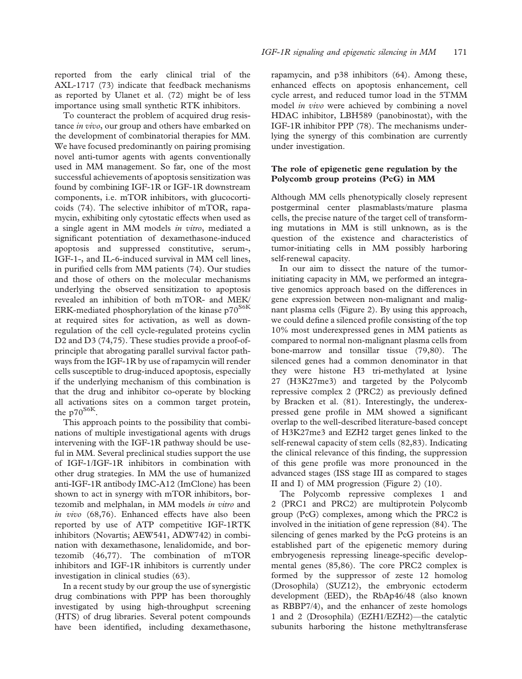reported from the early clinical trial of the AXL-1717 (73) indicate that feedback mechanisms as reported by Ulanet et al. (72) might be of less importance using small synthetic RTK inhibitors.

To counteract the problem of acquired drug resistance *in vivo*, our group and others have embarked on the development of combinatorial therapies for MM. We have focused predominantly on pairing promising novel anti-tumor agents with agents conventionally used in MM management. So far, one of the most successful achievements of apoptosis sensitization was found by combining IGF-1R or IGF-1R downstream components, i.e. mTOR inhibitors, with glucocorticoids (74). The selective inhibitor of mTOR, rapamycin, exhibiting only cytostatic effects when used as a single agent in MM models in vitro, mediated a significant potentiation of dexamethasone-induced apoptosis and suppressed constitutive, serum-, IGF-1-, and IL-6-induced survival in MM cell lines, in purified cells from MM patients (74). Our studies and those of others on the molecular mechanisms underlying the observed sensitization to apoptosis revealed an inhibition of both mTOR- and MEK/ ERK-mediated phosphorylation of the kinase  $p70^{S6K}$ at required sites for activation, as well as downregulation of the cell cycle-regulated proteins cyclin D2 and D3 (74,75). These studies provide a proof-ofprinciple that abrogating parallel survival factor pathways from the IGF-1R by use of rapamycin will render cells susceptible to drug-induced apoptosis, especially if the underlying mechanism of this combination is that the drug and inhibitor co-operate by blocking all activations sites on a common target protein, the  $p70^{86}$ .

This approach points to the possibility that combinations of multiple investigational agents with drugs intervening with the IGF-1R pathway should be useful in MM. Several preclinical studies support the use of IGF-1/IGF-1R inhibitors in combination with other drug strategies. In MM the use of humanized anti-IGF-1R antibody IMC-A12 (ImClone) has been shown to act in synergy with mTOR inhibitors, bortezomib and melphalan, in MM models in vitro and in vivo (68,76). Enhanced effects have also been reported by use of ATP competitive IGF-1RTK inhibitors (Novartis; AEW541, ADW742) in combination with dexamethasone, lenalidomide, and bortezomib (46,77). The combination of mTOR inhibitors and IGF-1R inhibitors is currently under investigation in clinical studies (63).

In a recent study by our group the use of synergistic drug combinations with PPP has been thoroughly investigated by using high-throughput screening (HTS) of drug libraries. Several potent compounds have been identified, including dexamethasone,

rapamycin, and p38 inhibitors (64). Among these, enhanced effects on apoptosis enhancement, cell cycle arrest, and reduced tumor load in the 5TMM model *in vivo* were achieved by combining a novel HDAC inhibitor, LBH589 (panobinostat), with the IGF-1R inhibitor PPP (78). The mechanisms underlying the synergy of this combination are currently under investigation.

# The role of epigenetic gene regulation by the Polycomb group proteins (PcG) in MM

Although MM cells phenotypically closely represent postgerminal center plasmablasts/mature plasma cells, the precise nature of the target cell of transforming mutations in MM is still unknown, as is the question of the existence and characteristics of tumor-initiating cells in MM possibly harboring self-renewal capacity.

In our aim to dissect the nature of the tumorinitiating capacity in MM, we performed an integrative genomics approach based on the differences in gene expression between non-malignant and malignant plasma cells (Figure 2). By using this approach, we could define a silenced profile consisting of the top 10% most underexpressed genes in MM patients as compared to normal non-malignant plasma cells from bone-marrow and tonsillar tissue (79,80). The silenced genes had a common denominator in that they were histone H3 tri-methylated at lysine 27 (H3K27me3) and targeted by the Polycomb repressive complex 2 (PRC2) as previously defined by Bracken et al. (81). Interestingly, the underexpressed gene profile in MM showed a significant overlap to the well-described literature-based concept of H3K27me3 and EZH2 target genes linked to the self-renewal capacity of stem cells (82,83). Indicating the clinical relevance of this finding, the suppression of this gene profile was more pronounced in the advanced stages (ISS stage III as compared to stages II and I) of MM progression (Figure 2) (10).

The Polycomb repressive complexes 1 and 2 (PRC1 and PRC2) are multiprotein Polycomb group (PcG) complexes, among which the PRC2 is involved in the initiation of gene repression (84). The silencing of genes marked by the PcG proteins is an established part of the epigenetic memory during embryogenesis repressing lineage-specific developmental genes (85,86). The core PRC2 complex is formed by the suppressor of zeste 12 homolog (Drosophila) (SUZ12), the embryonic ectoderm development (EED), the RbAp46/48 (also known as RBBP7/4), and the enhancer of zeste homologs 1 and 2 (Drosophila) (EZH1/EZH2)—the catalytic subunits harboring the histone methyltransferase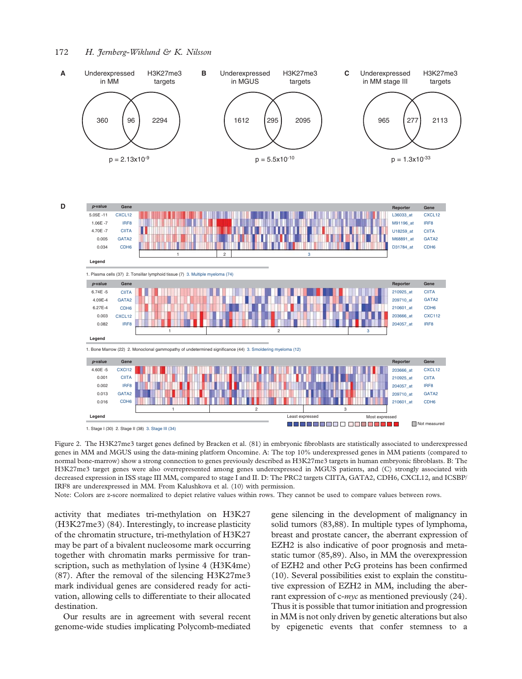

Figure 2. The H3K27me3 target genes defined by Bracken et al. (81) in embryonic fibroblasts are statistically associated to underexpressed genes in MM and MGUS using the data-mining platform Oncomine. A: The top 10% underexpressed genes in MM patients (compared to normal bone-marrow) show a strong connection to genes previously described as H3K27me3 targets in human embryonic fibroblasts. B: The H3K27me3 target genes were also overrepresented among genes underexpressed in MGUS patients, and (C) strongly associated with decreased expression in ISS stage III MM, compared to stage I and II. D: The PRC2 targets CIITA, GATA2, CDH6, CXCL12, and ICSBP/ IRF8 are underexpressed in MM. From Kalushkova et al. (10) with permission.

Note: Colors are z-score normalized to depiet relative values within rows. They cannot be used to compare values between rows.

activity that mediates tri-methylation on H3K27 (H3K27me3) (84). Interestingly, to increase plasticity of the chromatin structure, tri-methylation of H3K27 may be part of a bivalent nucleosome mark occurring together with chromatin marks permissive for transcription, such as methylation of lysine 4 (H3K4me) (87). After the removal of the silencing H3K27me3 mark individual genes are considered ready for activation, allowing cells to differentiate to their allocated destination.

Our results are in agreement with several recent genome-wide studies implicating Polycomb-mediated

gene silencing in the development of malignancy in solid tumors (83,88). In multiple types of lymphoma, breast and prostate cancer, the aberrant expression of EZH2 is also indicative of poor prognosis and metastatic tumor (85,89). Also, in MM the overexpression of EZH2 and other PcG proteins has been confirmed (10). Several possibilities exist to explain the constitutive expression of EZH2 in MM, including the aberrant expression of c-myc as mentioned previously (24). Thus it is possible that tumor initiation and progression in MM is not only driven by genetic alterations but also by epigenetic events that confer stemness to a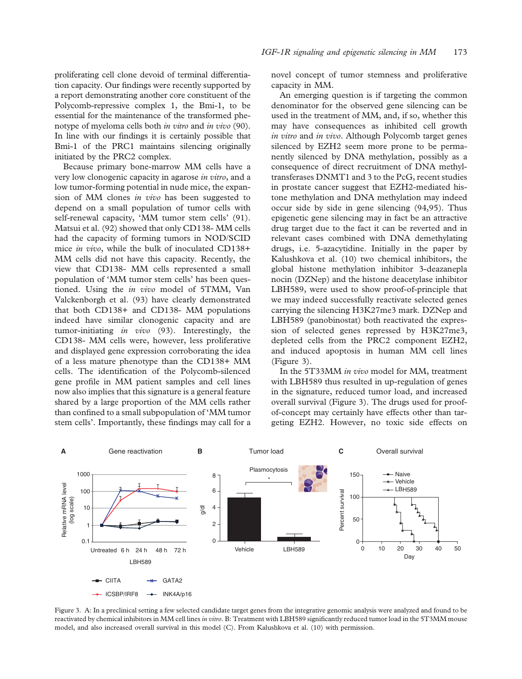proliferating cell clone devoid of terminal differentiation capacity. Our findings were recently supported by a report demonstrating another core constituent of the Polycomb-repressive complex 1, the Bmi-1, to be essential for the maintenance of the transformed phenotype of myeloma cells both *in vitro* and *in vivo* (90). In line with our findings it is certainly possible that Bmi-1 of the PRC1 maintains silencing originally initiated by the PRC2 complex.

Because primary bone-marrow MM cells have a very low clonogenic capacity in agarose in vitro, and a low tumor-forming potential in nude mice, the expansion of MM clones in vivo has been suggested to depend on a small population of tumor cells with self-renewal capacity, 'MM tumor stem cells' (91). Matsui et al. (92) showed that only CD138- MM cells had the capacity of forming tumors in NOD/SCID mice in vivo, while the bulk of inoculated CD138+ MM cells did not have this capacity. Recently, the view that CD138- MM cells represented a small population of 'MM tumor stem cells' has been questioned. Using the in vivo model of 5TMM, Van Valckenborgh et al. (93) have clearly demonstrated that both CD138+ and CD138- MM populations indeed have similar clonogenic capacity and are tumor-initiating in vivo (93). Interestingly, the CD138- MM cells were, however, less proliferative and displayed gene expression corroborating the idea of a less mature phenotype than the CD138+ MM cells. The identification of the Polycomb-silenced gene profile in MM patient samples and cell lines now also implies that this signature is a general feature shared by a large proportion of the MM cells rather than confined to a small subpopulation of 'MM tumor stem cells'. Importantly, these findings may call for a

novel concept of tumor stemness and proliferative capacity in MM.

An emerging question is if targeting the common denominator for the observed gene silencing can be used in the treatment of MM, and, if so, whether this may have consequences as inhibited cell growth in vitro and in vivo. Although Polycomb target genes silenced by EZH2 seem more prone to be permanently silenced by DNA methylation, possibly as a consequence of direct recruitment of DNA methyltransferases DNMT1 and 3 to the PcG, recent studies in prostate cancer suggest that EZH2-mediated histone methylation and DNA methylation may indeed occur side by side in gene silencing (94,95). Thus epigenetic gene silencing may in fact be an attractive drug target due to the fact it can be reverted and in relevant cases combined with DNA demethylating drugs, i.e. 5-azacytidine. Initially in the paper by Kalushkova et al. (10) two chemical inhibitors, the global histone methylation inhibitor 3-deazanepla nocin (DZNep) and the histone deacetylase inhibitor LBH589, were used to show proof-of-principle that we may indeed successfully reactivate selected genes carrying the silencing H3K27me3 mark. DZNep and LBH589 (panobinostat) both reactivated the expression of selected genes repressed by H3K27me3, depleted cells from the PRC2 component EZH2, and induced apoptosis in human MM cell lines (Figure 3).

In the 5T33MM in vivo model for MM, treatment with LBH589 thus resulted in up-regulation of genes in the signature, reduced tumor load, and increased overall survival (Figure 3). The drugs used for proofof-concept may certainly have effects other than targeting EZH2. However, no toxic side effects on



Figure 3. A: In a preclinical setting a few selected candidate target genes from the integrative genomic analysis were analyzed and found to be reactivated by chemical inhibitors in MM cell lines in vitro. B: Treatment with LBH589 significantly reduced tumor load in the 5T3MM mouse model, and also increased overall survival in this model (C). From Kalushkova et al. (10) with permission.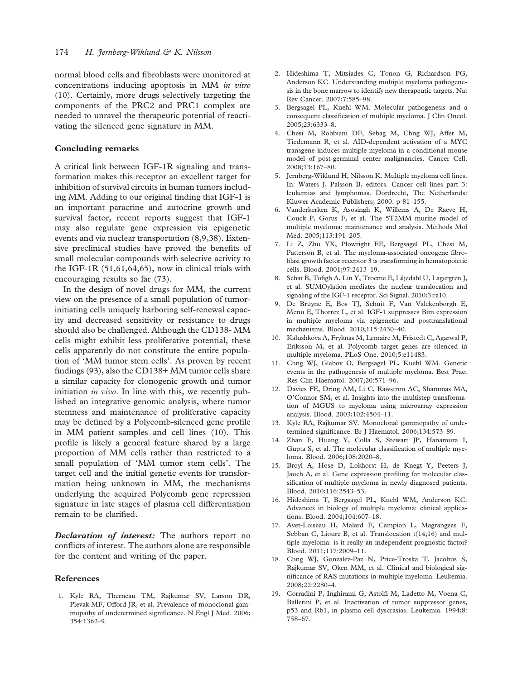normal blood cells and fibroblasts were monitored at concentrations inducing apoptosis in MM in vitro (10). Certainly, more drugs selectively targeting the components of the PRC2 and PRC1 complex are needed to unravel the therapeutic potential of reactivating the silenced gene signature in MM.

#### Concluding remarks

A critical link between IGF-1R signaling and transformation makes this receptor an excellent target for inhibition of survival circuits in human tumors including MM. Adding to our original finding that IGF-1 is an important paracrine and autocrine growth and survival factor, recent reports suggest that IGF-1 may also regulate gene expression via epigenetic events and via nuclear transportation (8,9,38). Extensive preclinical studies have proved the benefits of small molecular compounds with selective activity to the IGF-1R (51,61,64,65), now in clinical trials with encouraging results so far (73).

In the design of novel drugs for MM, the current view on the presence of a small population of tumorinitiating cells uniquely harboring self-renewal capacity and decreased sensitivity or resistance to drugs should also be challenged. Although the CD138- MM cells might exhibit less proliferative potential, these cells apparently do not constitute the entire population of 'MM tumor stem cells'. As proven by recent findings (93), also the CD138+ MM tumor cells share a similar capacity for clonogenic growth and tumor initiation *in vivo*. In line with this, we recently published an integrative genomic analysis, where tumor stemness and maintenance of proliferative capacity may be defined by a Polycomb-silenced gene profile in MM patient samples and cell lines (10). This profile is likely a general feature shared by a large proportion of MM cells rather than restricted to a small population of 'MM tumor stem cells'. The target cell and the initial genetic events for transformation being unknown in MM, the mechanisms underlying the acquired Polycomb gene repression signature in late stages of plasma cell differentiation remain to be clarified.

**Declaration of interest:** The authors report no conflicts of interest. The authors alone are responsible for the content and writing of the paper.

#### References

1. Kyle RA, Therneau TM, Rajkumar SV, Larson DR, Plevak MF, Offord JR, et al. Prevalence of monoclonal gammopathy of undetermined significance. N Engl J Med. 2006; 354:1362–9.

- 2. Hideshima T, Mitsiades C, Tonon G, Richardson PG, Anderson KC. Understanding multiple myeloma pathogenesis in the bone marrow to identify new therapeutic targets. Nat Rev Cancer. 2007;7:585–98.
- 3. Bergsagel PL, Kuehl WM. Molecular pathogenesis and a consequent classification of multiple myeloma. J Clin Oncol. 2005;23:6333–8.
- 4. Chesi M, Robbiani DF, Sebag M, Chng WJ, Affer M, Tiedemann R, et al. AID-dependent activation of a MYC transgene induces multiple myeloma in a conditional mouse model of post-germinal center malignancies. Cancer Cell. 2008;13:167–80.
- 5. Jernberg-Wiklund H, Nilsson K. Multiple myeloma cell lines. In: Waters J, Palsson B, editors. Cancer cell lines part 3: leukemias and lymphomas. Dordrecht, The Netherlands: Kluwer Academic Publishers; 2000. p 81–155.
- 6. Vanderkerken K, Asosingh K, Willems A, De Raeve H, Couck P, Gorus F, et al. The 5T2MM murine model of multiple myeloma: maintenance and analysis. Methods Mol Med. 2005;113:191–205.
- 7. Li Z, Zhu YX, Plowright EE, Bergsagel PL, Chesi M, Patterson B, et al. The myeloma-associated oncogene fibroblast growth factor receptor 3 is transforming in hematopoietic cells. Blood. 2001;97:2413–19.
- 8. Sehat B, Tofigh A, Lin Y, Trocme E, Liljedahl U, Lagergren J, et al. SUMOylation mediates the nuclear translocation and signaling of the IGF-1 receptor. Sci Signal. 2010;3:ra10.
- 9. De Bruyne E, Bos TJ, Schuit F, Van Valckenborgh E, Menu E, Thorrez L, et al. IGF-1 suppresses Bim expression in multiple myeloma via epigenetic and posttranslational mechanisms. Blood. 2010;115:2430–40.
- 10. Kalushkova A, Fryknas M, Lemaire M, Fristedt C, Agarwal P, Eriksson M, et al. Polycomb target genes are silenced in multiple myeloma. PLoS One. 2010;5:e11483.
- 11. Chng WJ, Glebov O, Bergsagel PL, Kuehl WM. Genetic events in the pathogenesis of multiple myeloma. Best Pract Res Clin Haematol. 2007;20:571–96.
- 12. Davies FE, Dring AM, Li C, Rawstron AC, Shammas MA, O'Connor SM, et al. Insights into the multistep transformation of MGUS to myeloma using microarray expression analysis. Blood. 2003;102:4504–11.
- 13. Kyle RA, Rajkumar SV. Monoclonal gammopathy of undetermined significance. Br J Haematol. 2006;134:573–89.
- 14. Zhan F, Huang Y, Colla S, Stewart JP, Hanamura I, Gupta S, et al. The molecular classification of multiple myeloma. Blood. 2006;108:2020–8.
- 15. Broyl A, Hose D, Lokhorst H, de Knegt Y, Peeters J, Jauch A, et al. Gene expression profiling for molecular classification of multiple myeloma in newly diagnosed patients. Blood. 2010;116:2543–53.
- 16. Hideshima T, Bergsagel PL, Kuehl WM, Anderson KC. Advances in biology of multiple myeloma: clinical applications. Blood. 2004;104:607–18.
- 17. Avet-Loiseau H, Malard F, Campion L, Magrangeas F, Sebban C, Lioure B, et al. Translocation t(14;16) and multiple myeloma: is it really an independent prognostic factor? Blood. 2011;117:2009–11.
- 18. Chng WJ, Gonzalez-Paz N, Price-Troska T, Jacobus S, Rajkumar SV, Oken MM, et al. Clinical and biological significance of RAS mutations in multiple myeloma. Leukemia. 2008;22:2280–4.
- 19. Corradini P, Inghirami G, Astolfi M, Ladetto M, Voena C, Ballerini P, et al. Inactivation of tumor suppressor genes, p53 and Rb1, in plasma cell dyscrasias. Leukemia. 1994;8: 758–67.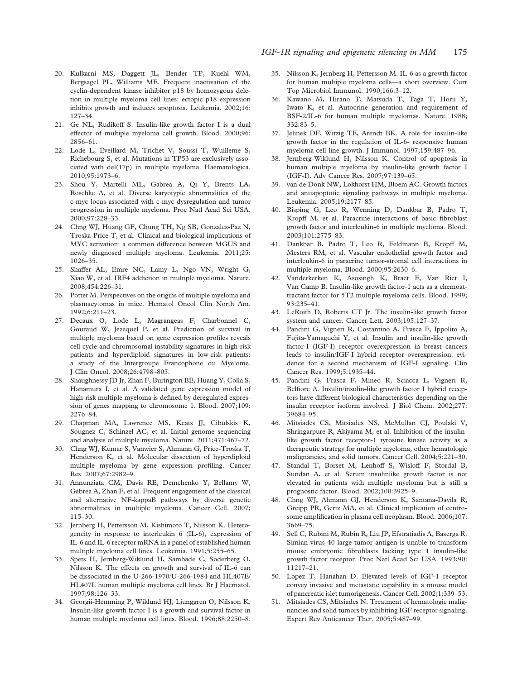- 20. Kulkarni MS, Daggett JL, Bender TP, Kuehl WM, Bergsagel PL, Williams ME. Frequent inactivation of the cyclin-dependent kinase inhibitor p18 by homozygous deletion in multiple myeloma cell lines: ectopic p18 expression inhibits growth and induces apoptosis. Leukemia. 2002;16: 127–34.
- 21. Ge NL, Rudikoff S. Insulin-like growth factor I is a dual effector of multiple myeloma cell growth. Blood. 2000;96: 2856–61.
- 22. Lode L, Eveillard M, Trichet V, Soussi T, Wuilleme S, Richebourg S, et al. Mutations in TP53 are exclusively associated with del(17p) in multiple myeloma. Haematologica. 2010;95:1973–6.
- 23. Shou Y, Martelli ML, Gabrea A, Qi Y, Brents LA, Roschke A, et al. Diverse karyotypic abnormalities of the c-myc locus associated with c-myc dysregulation and tumor progression in multiple myeloma. Proc Natl Acad Sci USA. 2000;97:228–33.
- 24. Chng WJ, Huang GF, Chung TH, Ng SB, Gonzalez-Paz N, Troska-Price T, et al. Clinical and biological implications of MYC activation: a common difference between MGUS and newly diagnosed multiple myeloma. Leukemia. 2011;25: 1026–35.
- 25. Shaffer AL, Emre NC, Lamy L, Ngo VN, Wright G, Xiao W, et al. IRF4 addiction in multiple myeloma. Nature. 2008;454:226–31.
- 26. Potter M. Perspectives on the origins of multiple myeloma and plasmacytomas in mice. Hematol Oncol Clin North Am. 1992;6:211–23.
- 27. Decaux O, Lode L, Magrangeas F, Charbonnel C, Gouraud W, Jezequel P, et al. Prediction of survival in multiple myeloma based on gene expression profiles reveals cell cycle and chromosomal instability signatures in high-risk patients and hyperdiploid signatures in low-risk patients: a study of the Intergroupe Francophone du Myelome. J Clin Oncol. 2008;26:4798–805.
- 28. Shaughnessy JD Jr, Zhan F, Burington BE, Huang Y, Colla S, Hanamura I, et al. A validated gene expression model of high-risk multiple myeloma is defined by deregulated expression of genes mapping to chromosome 1. Blood. 2007;109: 2276–84.
- 29. Chapman MA, Lawrence MS, Keats JJ, Cibulskis K, Sougnez C, Schinzel AC, et al. Initial genome sequencing and analysis of multiple myeloma. Nature. 2011;471:467–72.
- 30. Chng WJ, Kumar S, Vanwier S, Ahmann G, Price-Troska T, Henderson K, et al. Molecular dissection of hyperdiploid multiple myeloma by gene expression profiling. Cancer Res. 2007;67:2982–9.
- 31. Annunziata CM, Davis RE, Demchenko Y, Bellamy W, Gabrea A, Zhan F, et al. Frequent engagement of the classical and alternative NF-kappaB pathways by diverse genetic abnormalities in multiple myeloma. Cancer Cell. 2007; 115–30.
- 32. Jernberg H, Pettersson M, Kishimoto T, Nilsson K. Heterogeneity in response to interleukin 6 (IL-6), expression of IL-6 and IL-6 receptor mRNA in a panel of established human multiple myeloma cell lines. Leukemia. 1991;5:255–65.
- 33. Spets H, Jernberg-Wiklund H, Sambade C, Soderberg O, Nilsson K. The effects on growth and survival of IL-6 can be dissociated in the U-266-1970/U-266-1984 and HL407E/ HL407L human multiple myeloma cell lines. Br J Haematol. 1997;98:126–33.
- 34. Georgii-Hemming P, Wiklund HJ, Ljunggren O, Nilsson K. Insulin-like growth factor I is a growth and survival factor in human multiple myeloma cell lines. Blood. 1996;88:2250–8.
- 35. Nilsson K, Jernberg H, Pettersson M. IL-6 as a growth factor for human multiple myeloma cells—a short overview. Curr Top Microbiol Immunol. 1990;166:3–12.
- 36. Kawano M, Hirano T, Matsuda T, Taga T, Horii Y, Iwato K, et al. Autocrine generation and requirement of BSF-2/IL-6 for human multiple myelomas. Nature. 1988; 332:83–5.
- 37. Jelinek DF, Witzig TE, Arendt BK. A role for insulin-like growth factor in the regulation of IL-6- responsive human myeloma cell line growth. J Immunol. 1997;159:487–96.
- 38. Jernberg-Wiklund H, Nilsson K. Control of apoptosis in human multiple myeloma by insulin-like growth factor I (IGF-I). Adv Cancer Res. 2007;97:139–65.
- 39. van de Donk NW, Lokhorst HM, Bloem AC. Growth factors and antiapoptotic signaling pathways in multiple myeloma. Leukemia. 2005;19:2177–85.
- 40. Bisping G, Leo R, Wenning D, Dankbar B, Padro T, Kropff M, et al. Paracrine interactions of basic fibroblast growth factor and interleukin-6 in multiple myeloma. Blood. 2003;101:2775–83.
- 41. Dankbar B, Padro T, Leo R, Feldmann B, Kropff M, Mesters RM, et al. Vascular endothelial growth factor and interleukin-6 in paracrine tumor-stromal cell interactions in multiple myeloma. Blood. 2000;95:2630–6.
- 42. Vanderkerken K, Asosingh K, Braet F, Van Riet I, Van Camp B. Insulin-like growth factor-1 acts as a chemoattractant factor for 5T2 multiple myeloma cells. Blood. 1999; 93:235–41.
- 43. LeRoith D, Roberts CT Jr. The insulin-like growth factor system and cancer. Cancer Lett. 2003;195:127–37.
- 44. Pandini G, Vigneri R, Costantino A, Frasca F, Ippolito A, Fujita-Yamaguchi Y, et al. Insulin and insulin-like growth factor-I (IGF-I) receptor overexpression in breast cancers leads to insulin/IGF-I hybrid receptor overexpression: evidence for a second mechanism of IGF-I signaling. Clin Cancer Res. 1999;5:1935–44.
- 45. Pandini G, Frasca F, Mineo R, Sciacca L, Vigneri R, Belfiore A. Insulin/insulin-like growth factor I hybrid receptors have different biological characteristics depending on the insulin receptor isoform involved. J Biol Chem. 2002;277: 39684–95.
- 46. Mitsiades CS, Mitsiades NS, McMullan CJ, Poulaki V, Shringarpure R, Akiyama M, et al. Inhibition of the insulinlike growth factor receptor-1 tyrosine kinase activity as a therapeutic strategy for multiple myeloma, other hematologic malignancies, and solid tumors. Cancer Cell. 2004;5:221–30.
- 47. Standal T, Borset M, Lenhoff S, Wisloff F, Stordal B, Sundan A, et al. Serum insulinlike growth factor is not elevated in patients with multiple myeloma but is still a prognostic factor. Blood. 2002;100:3925–9.
- 48. Chng WJ, Ahmann GJ, Henderson K, Santana-Davila R, Greipp PR, Gertz MA, et al. Clinical implication of centrosome amplification in plasma cell neoplasm. Blood. 2006;107: 3669–75.
- 49. Sell C, Rubini M, Rubin R, Liu JP, Efstratiadis A, Baserga R. Simian virus 40 large tumor antigen is unable to transform mouse embryonic fibroblasts lacking type 1 insulin-like growth factor receptor. Proc Natl Acad Sci USA. 1993;90: 11217–21.
- 50. Lopez T, Hanahan D. Elevated levels of IGF-1 receptor convey invasive and metastatic capability in a mouse model of pancreatic islet tumorigenesis. Cancer Cell. 2002;1:339–53.
- 51. Mitsiades CS, Mitsiades N. Treatment of hematologic malignancies and solid tumors by inhibiting IGF receptor signaling. Expert Rev Anticancer Ther. 2005;5:487–99.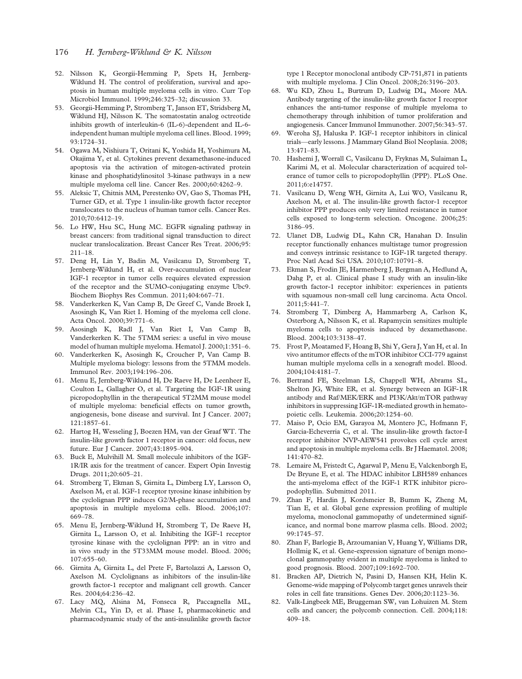- 52. Nilsson K, Georgii-Hemming P, Spets H, Jernberg-Wiklund H. The control of proliferation, survival and apoptosis in human multiple myeloma cells in vitro. Curr Top Microbiol Immunol. 1999;246:325–32; discussion 33.
- 53. Georgii-Hemming P, Stromberg T, Janson ET, Stridsberg M, Wiklund HJ, Nilsson K. The somatostatin analog octreotide inhibits growth of interleukin-6 (IL-6)-dependent and IL-6 independent human multiple myeloma cell lines. Blood. 1999; 93:1724–31.
- 54. Ogawa M, Nishiura T, Oritani K, Yoshida H, Yoshimura M, Okajima Y, et al. Cytokines prevent dexamethasone-induced apoptosis via the activation of mitogen-activated protein kinase and phosphatidylinositol 3-kinase pathways in a new multiple myeloma cell line. Cancer Res. 2000;60:4262–9.
- 55. Aleksic T, Chitnis MM, Perestenko OV, Gao S, Thomas PH, Turner GD, et al. Type 1 insulin-like growth factor receptor translocates to the nucleus of human tumor cells. Cancer Res. 2010;70:6412–19.
- 56. Lo HW, Hsu SC, Hung MC. EGFR signaling pathway in breast cancers: from traditional signal transduction to direct nuclear translocalization. Breast Cancer Res Treat. 2006;95: 211–18.
- 57. Deng H, Lin Y, Badin M, Vasilcanu D, Stromberg T, Jernberg-Wiklund H, et al. Over-accumulation of nuclear IGF-1 receptor in tumor cells requires elevated expression of the receptor and the SUMO-conjugating enzyme Ubc9. Biochem Biophys Res Commun. 2011;404:667–71.
- 58. Vanderkerken K, Van Camp B, De Greef C, Vande Broek I, Asosingh K, Van Riet I. Homing of the myeloma cell clone. Acta Oncol. 2000;39:771–6.
- 59. Asosingh K, Radl J, Van Riet I, Van Camp B, Vanderkerken K. The 5TMM series: a useful in vivo mouse model of human multiple myeloma. Hematol J. 2000;1:351–6.
- 60. Vanderkerken K, Asosingh K, Croucher P, Van Camp B. Multiple myeloma biology: lessons from the 5TMM models. Immunol Rev. 2003;194:196–206.
- 61. Menu E, Jernberg-Wiklund H, De Raeve H, De Leenheer E, Coulton L, Gallagher O, et al. Targeting the IGF-1R using picropodophyllin in the therapeutical 5T2MM mouse model of multiple myeloma: beneficial effects on tumor growth, angiogenesis, bone disease and survival. Int J Cancer. 2007; 121:1857–61.
- 62. Hartog H, Wesseling J, Boezen HM, van der Graaf WT. The insulin-like growth factor 1 receptor in cancer: old focus, new future. Eur J Cancer. 2007;43:1895–904.
- 63. Buck E, Mulvihill M. Small molecule inhibitors of the IGF-1R/IR axis for the treatment of cancer. Expert Opin Investig Drugs. 2011;20:605–21.
- 64. Stromberg T, Ekman S, Girnita L, Dimberg LY, Larsson O, Axelson M, et al. IGF-1 receptor tyrosine kinase inhibition by the cyclolignan PPP induces G2/M-phase accumulation and apoptosis in multiple myeloma cells. Blood. 2006;107: 669–78.
- 65. Menu E, Jernberg-Wiklund H, Stromberg T, De Raeve H, Girnita L, Larsson O, et al. Inhibiting the IGF-1 receptor tyrosine kinase with the cyclolignan PPP: an in vitro and in vivo study in the 5T33MM mouse model. Blood. 2006; 107:655–60.
- 66. Girnita A, Girnita L, del Prete F, Bartolazzi A, Larsson O, Axelson M. Cyclolignans as inhibitors of the insulin-like growth factor-1 receptor and malignant cell growth. Cancer Res. 2004;64:236–42.
- 67. Lacy MQ, Alsina M, Fonseca R, Paccagnella ML, Melvin CL, Yin D, et al. Phase I, pharmacokinetic and pharmacodynamic study of the anti-insulinlike growth factor

type 1 Receptor monoclonal antibody CP-751,871 in patients with multiple myeloma. J Clin Oncol. 2008;26:3196–203.

- 68. Wu KD, Zhou L, Burtrum D, Ludwig DL, Moore MA. Antibody targeting of the insulin-like growth factor I receptor enhances the anti-tumor response of multiple myeloma to chemotherapy through inhibition of tumor proliferation and angiogenesis. Cancer Immunol Immunother. 2007;56:343–57.
- 69. Weroha SJ, Haluska P. IGF-1 receptor inhibitors in clinical trials—early lessons. J Mammary Gland Biol Neoplasia. 2008; 13:471–83.
- 70. Hashemi J, Worrall C, Vasilcanu D, Fryknas M, Sulaiman L, Karimi M, et al. Molecular characterization of acquired tolerance of tumor cells to picropodophyllin (PPP). PLoS One. 2011;6:e14757.
- 71. Vasilcanu D, Weng WH, Girnita A, Lui WO, Vasilcanu R, Axelson M, et al. The insulin-like growth factor-1 receptor inhibitor PPP produces only very limited resistance in tumor cells exposed to long-term selection. Oncogene. 2006;25: 3186–95.
- 72. Ulanet DB, Ludwig DL, Kahn CR, Hanahan D. Insulin receptor functionally enhances multistage tumor progression and conveys intrinsic resistance to IGF-1R targeted therapy. Proc Natl Acad Sci USA. 2010;107:10791–8.
- 73. Ekman S, Frodin JE, Harmenberg J, Bergman A, Hedlund A, Dahg P, et al. Clinical phase I study with an insulin-like growth factor-1 receptor inhibitor: experiences in patients with squamous non-small cell lung carcinoma. Acta Oncol. 2011;5:441–7.
- 74. Stromberg T, Dimberg A, Hammarberg A, Carlson K, Osterborg A, Nilsson K, et al. Rapamycin sensitizes multiple myeloma cells to apoptosis induced by dexamethasone. Blood. 2004;103:3138–47.
- 75. Frost P, Moatamed F, Hoang B, Shi Y, Gera J, Yan H, et al. In vivo antitumor effects of the mTOR inhibitor CCI-779 against human multiple myeloma cells in a xenograft model. Blood. 2004;104:4181–7.
- 76. Bertrand FE, Steelman LS, Chappell WH, Abrams SL, Shelton JG, White ER, et al. Synergy between an IGF-1R antibody and Raf/MEK/ERK and PI3K/Akt/mTOR pathway inhibitors in suppressing IGF-1R-mediated growth in hematopoietic cells. Leukemia. 2006;20:1254–60.
- 77. Maiso P, Ocio EM, Garayoa M, Montero JC, Hofmann F, Garcia-Echeverria C, et al. The insulin-like growth factor-I receptor inhibitor NVP-AEW541 provokes cell cycle arrest and apoptosis in multiple myeloma cells. Br J Haematol. 2008; 141:470–82.
- 78. Lemaire M, Fristedt C, Agarwal P, Menu E, Valckenborgh E, De Bryune E, et al. The HDAC inhibitor LBH589 enhances the anti-myeloma effect of the IGF-1 RTK inhibitor picropodophyllin. Submitted 2011.
- 79. Zhan F, Hardin J, Kordsmeier B, Bumm K, Zheng M, Tian E, et al. Global gene expression profiling of multiple myeloma, monoclonal gammopathy of undetermined significance, and normal bone marrow plasma cells. Blood. 2002; 99:1745–57.
- 80. Zhan F, Barlogie B, Arzoumanian V, Huang Y, Williams DR, Hollmig K, et al. Gene-expression signature of benign monoclonal gammopathy evident in multiple myeloma is linked to good prognosis. Blood. 2007;109:1692–700.
- 81. Bracken AP, Dietrich N, Pasini D, Hansen KH, Helin K. Genome-wide mapping of Polycomb target genes unravels their roles in cell fate transitions. Genes Dev. 2006;20:1123–36.
- 82. Valk-Lingbeek ME, Bruggeman SW, van Lohuizen M. Stem cells and cancer; the polycomb connection. Cell. 2004;118: 409–18.